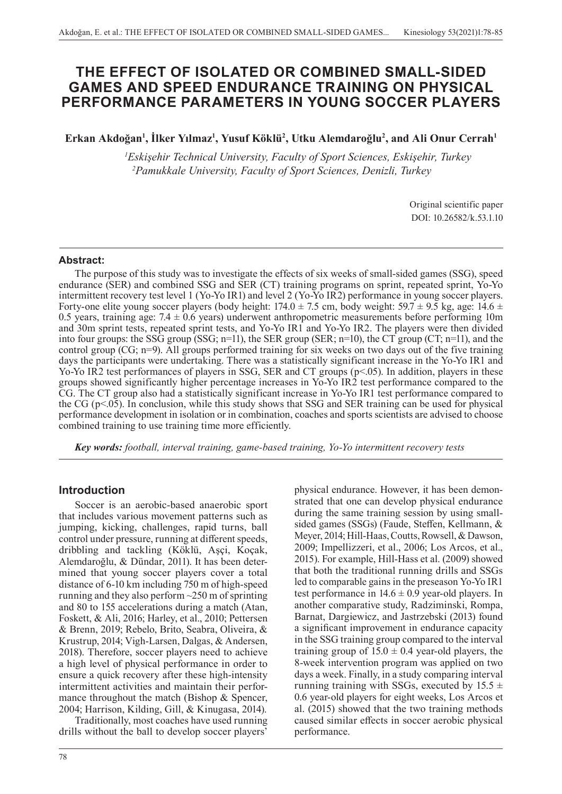# **THE EFFECT OF ISOLATED OR COMBINED SMALL-SIDED GAMES AND SPEED ENDURANCE TRAINING ON PHYSICAL PERFORMANCE PARAMETERS IN YOUNG SOCCER PLAYERS**

**Erkan Akdoğan<sup>1</sup> , İlker Yılmaz<sup>1</sup> , Yusuf Köklü<sup>2</sup> , Utku Alemdaroğlu<sup>2</sup> , and Ali Onur Cerrah<sup>1</sup>**

*1 Eskişehir Technical University, Faculty of Sport Sciences, Eskişehir, Turkey 2Pamukkale University, Faculty of Sport Sciences, Denizli, Turkey*

> Original scientific paper DOI: 10.26582/k.53.1.10

### **Abstract:**

The purpose of this study was to investigate the effects of six weeks of small-sided games (SSG), speed endurance (SER) and combined SSG and SER (CT) training programs on sprint, repeated sprint, Yo-Yo intermittent recovery test level 1 (Yo-Yo IR1) and level 2 (Yo-Yo IR2) performance in young soccer players. Forty-one elite young soccer players (body height:  $174.0 \pm 7.5$  cm, body weight:  $59.7 \pm 9.5$  kg, age:  $14.6 \pm 7.5$ 0.5 years, training age:  $7.4 \pm 0.6$  years) underwent anthropometric measurements before performing 10m and 30m sprint tests, repeated sprint tests, and Yo-Yo IR1 and Yo-Yo IR2. The players were then divided into four groups: the SSG group (SSG; n=11), the SER group (SER; n=10), the CT group (CT; n=11), and the control group (CG; n=9). All groups performed training for six weeks on two days out of the five training days the participants were undertaking. There was a statistically significant increase in the Yo-Yo IR1 and Yo-Yo IR2 test performances of players in SSG, SER and CT groups (p<.05). In addition, players in these groups showed significantly higher percentage increases in Yo-Yo IR2 test performance compared to the CG. The CT group also had a statistically significant increase in Yo-Yo IR1 test performance compared to the CG ( $p<0.05$ ). In conclusion, while this study shows that SSG and SER training can be used for physical performance development in isolation or in combination, coaches and sports scientists are advised to choose combined training to use training time more efficiently.

*Key words: football, interval training, game-based training, Yo-Yo intermittent recovery tests*

# **Introduction**

Soccer is an aerobic-based anaerobic sport that includes various movement patterns such as jumping, kicking, challenges, rapid turns, ball control under pressure, running at different speeds, dribbling and tackling (Köklü, Aşçi, Koçak, Alemdaroğlu, & Dündar, 2011). It has been determined that young soccer players cover a total distance of 6-10 km including 750 m of high-speed running and they also perform ~250 m of sprinting and 80 to 155 accelerations during a match (Atan, Foskett, & Ali, 2016; Harley, et al., 2010; Pettersen & Brenn, 2019; Rebelo, Brito, Seabra, Oliveira, & Krustrup, 2014; Vigh-Larsen, Dalgas, & Andersen, 2018). Therefore, soccer players need to achieve a high level of physical performance in order to ensure a quick recovery after these high-intensity intermittent activities and maintain their performance throughout the match (Bishop & Spencer, 2004; Harrison, Kilding, Gill, & Kinugasa, 2014).

Traditionally, most coaches have used running drills without the ball to develop soccer players'

78

physical endurance. However, it has been demonstrated that one can develop physical endurance during the same training session by using smallsided games (SSGs) (Faude, Steffen, Kellmann, & Meyer, 2014; Hill-Haas, Coutts, Rowsell, & Dawson, 2009; Impellizzeri, et al., 2006; Los Arcos, et al., 2015). For example, Hill-Hass et al. (2009) showed that both the traditional running drills and SSGs led to comparable gains in the preseason Yo-Yo IR1 test performance in  $14.6 \pm 0.9$  year-old players. In another comparative study, Radziminski, Rompa, Barnat, Dargiewicz, and Jastrzebski (2013) found a significant improvement in endurance capacity in the SSG training group compared to the interval training group of  $15.0 \pm 0.4$  year-old players, the 8-week intervention program was applied on two days a week. Finally, in a study comparing interval running training with SSGs, executed by  $15.5 \pm$ 0.6 year-old players for eight weeks, Los Arcos et al. (2015) showed that the two training methods caused similar effects in soccer aerobic physical performance.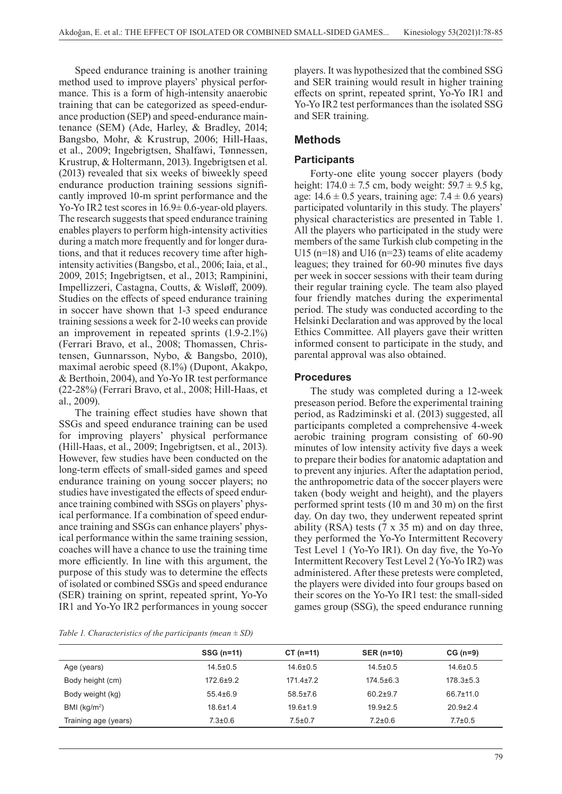Speed endurance training is another training method used to improve players' physical performance. This is a form of high-intensity anaerobic training that can be categorized as speed-endurance production (SEP) and speed-endurance maintenance (SEM) (Ade, Harley, & Bradley, 2014; Bangsbo, Mohr, & Krustrup, 2006; Hill-Haas, et al., 2009; Ingebrigtsen, Shalfawi, Tønnessen, Krustrup, & Holtermann, 2013). Ingebrigtsen et al. (2013) revealed that six weeks of biweekly speed endurance production training sessions significantly improved 10-m sprint performance and the Yo-Yo IR2 test scores in 16.9± 0.6-year-old players. The research suggests that speed endurance training enables players to perform high-intensity activities during a match more frequently and for longer durations, and that it reduces recovery time after highintensity activities (Bangsbo, et al., 2006; Iaia, et al., 2009, 2015; Ingebrigtsen, et al., 2013; Rampinini, Impellizzeri, Castagna, Coutts, & Wisløff, 2009). Studies on the effects of speed endurance training in soccer have shown that 1-3 speed endurance training sessions a week for 2-10 weeks can provide an improvement in repeated sprints (1.9-2.1%) (Ferrari Bravo, et al., 2008; Thomassen, Christensen, Gunnarsson, Nybo, & Bangsbo, 2010), maximal aerobic speed (8.1%) (Dupont, Akakpo, & Berthoin, 2004), and Yo-Yo IR test performance (22-28%) (Ferrari Bravo, et al., 2008; Hill-Haas, et al., 2009).

The training effect studies have shown that SSGs and speed endurance training can be used for improving players' physical performance (Hill-Haas, et al., 2009; Ingebrigtsen, et al., 2013). However, few studies have been conducted on the long-term effects of small-sided games and speed endurance training on young soccer players; no studies have investigated the effects of speed endurance training combined with SSGs on players' physical performance. If a combination of speed endurance training and SSGs can enhance players' physical performance within the same training session, coaches will have a chance to use the training time more efficiently. In line with this argument, the purpose of this study was to determine the effects of isolated or combined SSGs and speed endurance (SER) training on sprint, repeated sprint, Yo-Yo IR1 and Yo-Yo IR2 performances in young soccer

*Table 1. Characteristics of the participants (mean ± SD)*

players. It was hypothesized that the combined SSG and SER training would result in higher training effects on sprint, repeated sprint, Yo-Yo IR1 and Yo-Yo IR2 test performances than the isolated SSG and SER training.

# **Methods**

# **Participants**

Forty-one elite young soccer players (body height:  $174.0 \pm 7.5$  cm, body weight:  $59.7 \pm 9.5$  kg, age:  $14.6 \pm 0.5$  years, training age:  $7.4 \pm 0.6$  years) participated voluntarily in this study. The players' physical characteristics are presented in Table 1. All the players who participated in the study were members of the same Turkish club competing in the U15 (n=18) and U16 (n=23) teams of elite academy leagues; they trained for 60-90 minutes five days per week in soccer sessions with their team during their regular training cycle. The team also played four friendly matches during the experimental period. The study was conducted according to the Helsinki Declaration and was approved by the local Ethics Committee. All players gave their written informed consent to participate in the study, and parental approval was also obtained.

# **Procedures**

The study was completed during a 12-week preseason period. Before the experimental training period, as Radziminski et al. (2013) suggested, all participants completed a comprehensive 4-week aerobic training program consisting of 60-90 minutes of low intensity activity five days a week to prepare their bodies for anatomic adaptation and to prevent any injuries. After the adaptation period, the anthropometric data of the soccer players were taken (body weight and height), and the players performed sprint tests (10 m and 30 m) on the first day. On day two, they underwent repeated sprint ability (RSA) tests (7 x 35 m) and on day three, they performed the Yo-Yo Intermittent Recovery Test Level 1 (Yo-Yo IR1). On day five, the Yo-Yo Intermittent Recovery Test Level 2 (Yo-Yo IR2) was administered. After these pretests were completed, the players were divided into four groups based on their scores on the Yo-Yo IR1 test: the small-sided games group (SSG), the speed endurance running

|                      | SSG (n=11)      | $CT (n=11)$    | <b>SER (n=10)</b> | $CG (n=9)$      |
|----------------------|-----------------|----------------|-------------------|-----------------|
| Age (years)          | $14.5 \pm 0.5$  | $14.6 \pm 0.5$ | $14.5 \pm 0.5$    | $14.6 \pm 0.5$  |
| Body height (cm)     | $172.6 \pm 9.2$ | 171 4+7 2      | $174.5 \pm 6.3$   | $178.3 \pm 5.3$ |
| Body weight (kg)     | $55.4\pm 6.9$   | $58.5 \pm 7.6$ | $60.2 \pm 9.7$    | $66.7 \pm 11.0$ |
| BMI ( $kg/m2$ )      | $18.6 \pm 1.4$  | $19.6 \pm 1.9$ | $19.9 \pm 2.5$    | $20.9 \pm 2.4$  |
| Training age (years) | $7.3 \pm 0.6$   | $7.5 \pm 0.7$  | $7.2 \pm 0.6$     | $7.7 \pm 0.5$   |
|                      |                 |                |                   |                 |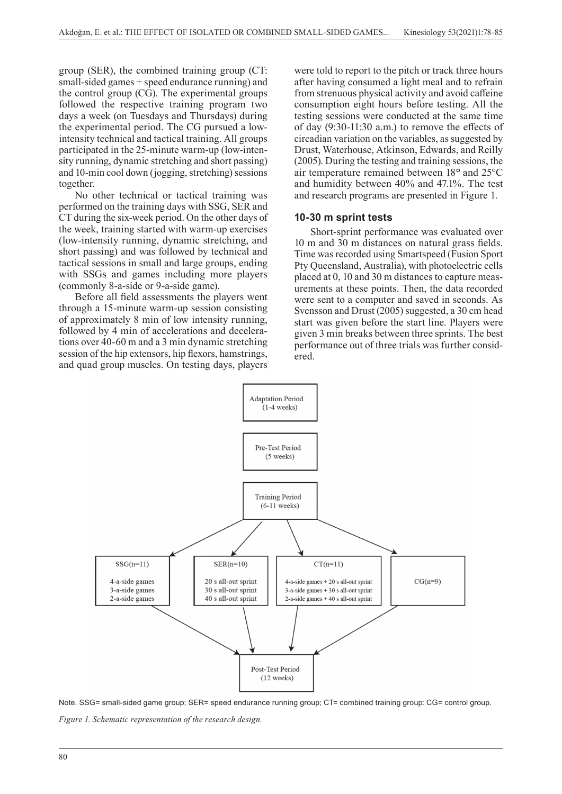group (SER), the combined training group (CT: small-sided games + speed endurance running) and the control group (CG). The experimental groups followed the respective training program two days a week (on Tuesdays and Thursdays) during the experimental period. The CG pursued a lowintensity technical and tactical training. All groups participated in the 25-minute warm-up (low-intensity running, dynamic stretching and short passing) and 10-min cool down (jogging, stretching) sessions together.

No other technical or tactical training was performed on the training days with SSG, SER and CT during the six-week period. On the other days of the week, training started with warm-up exercises (low-intensity running, dynamic stretching, and short passing) and was followed by technical and tactical sessions in small and large groups, ending with SSGs and games including more players (commonly 8-a-side or 9-a-side game).

Before all field assessments the players went through a 15-minute warm-up session consisting of approximately 8 min of low intensity running, followed by 4 min of accelerations and decelerations over 40-60 m and a 3 min dynamic stretching session of the hip extensors, hip flexors, hamstrings, and quad group muscles. On testing days, players

were told to report to the pitch or track three hours after having consumed a light meal and to refrain from strenuous physical activity and avoid caffeine consumption eight hours before testing. All the testing sessions were conducted at the same time of day (9:30-11:30 a.m.) to remove the effects of circadian variation on the variables, as suggested by Drust, Waterhouse, Atkinson, Edwards, and Reilly (2005). During the testing and training sessions, the air temperature remained between 18*°* and 25°C and humidity between 40% and 47.1%. The test and research programs are presented in Figure 1.

#### **10-30 m sprint tests**

Short-sprint performance was evaluated over 10 m and 30 m distances on natural grass fields. Time was recorded using Smartspeed (Fusion Sport Pty Queensland, Australia), with photoelectric cells placed at 0, 10 and 30 m distances to capture measurements at these points. Then, the data recorded were sent to a computer and saved in seconds. As Svensson and Drust (2005) suggested, a 30 cm head start was given before the start line. Players were given 3 min breaks between three sprints. The best performance out of three trials was further considered.



Note. SSG= small-sided game group; SER= speed endurance running group; CT= combined training group: CG= control group. *Figure 1. Schematic representation of the research design.*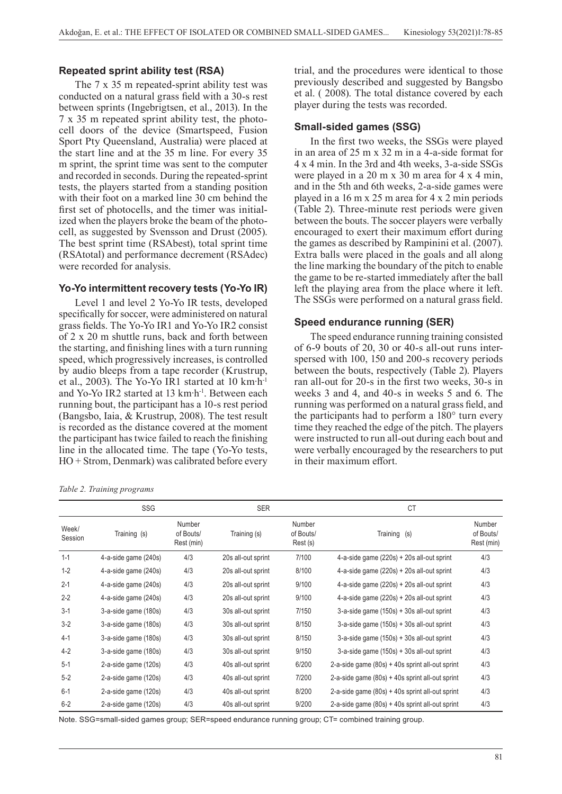### **Repeated sprint ability test (RSA)**

The 7 x 35 m repeated-sprint ability test was conducted on a natural grass field with a 30-s rest between sprints (Ingebrigtsen, et al., 2013). In the 7 x 35 m repeated sprint ability test, the photocell doors of the device (Smartspeed, Fusion Sport Pty Queensland, Australia) were placed at the start line and at the 35 m line. For every 35 m sprint, the sprint time was sent to the computer and recorded in seconds. During the repeated-sprint tests, the players started from a standing position with their foot on a marked line 30 cm behind the first set of photocells, and the timer was initialized when the players broke the beam of the photocell, as suggested by Svensson and Drust (2005). The best sprint time (RSAbest), total sprint time (RSAtotal) and performance decrement (RSAdec) were recorded for analysis.

#### **Yo-Yo intermittent recovery tests (Yo-Yo IR)**

Level 1 and level 2 Yo-Yo IR tests, developed specifically for soccer, were administered on natural grass fields. The Yo-Yo IR1 and Yo-Yo IR2 consist of 2 x 20 m shuttle runs, back and forth between the starting, and finishing lines with a turn running speed, which progressively increases, is controlled by audio bleeps from a tape recorder (Krustrup, et al., 2003). The Yo-Yo IR1 started at 10 km·h-1 and Yo-Yo IR2 started at 13 km·h-1. Between each running bout, the participant has a 10-s rest period (Bangsbo, Iaia, & Krustrup, 2008). The test result is recorded as the distance covered at the moment the participant has twice failed to reach the finishing line in the allocated time. The tape (Yo-Yo tests, HO + Strom, Denmark) was calibrated before every

*Table 2. Training programs*

trial, and the procedures were identical to those previously described and suggested by Bangsbo et al. ( 2008). The total distance covered by each player during the tests was recorded.

#### **Small-sided games (SSG)**

In the first two weeks, the SSGs were played in an area of 25 m x 32 m in a 4-a-side format for 4 x 4 min. In the 3rd and 4th weeks, 3-a-side SSGs were played in a 20 m x 30 m area for 4 x 4 min, and in the 5th and 6th weeks, 2-a-side games were played in a 16 m x 25 m area for 4 x 2 min periods (Table 2). Three-minute rest periods were given between the bouts. The soccer players were verbally encouraged to exert their maximum effort during the games as described by Rampinini et al. (2007). Extra balls were placed in the goals and all along the line marking the boundary of the pitch to enable the game to be re-started immediately after the ball left the playing area from the place where it left. The SSGs were performed on a natural grass field.

#### **Speed endurance running (SER)**

The speed endurance running training consisted of 6-9 bouts of 20, 30 or 40-s all-out runs interspersed with 100, 150 and 200-s recovery periods between the bouts, respectively (Table 2). Players ran all-out for 20-s in the first two weeks, 30-s in weeks 3 and 4, and 40-s in weeks 5 and 6. The running was performed on a natural grass field, and the participants had to perform a 180° turn every time they reached the edge of the pitch. The players were instructed to run all-out during each bout and were verbally encouraged by the researchers to put in their maximum effort.

|                  | SSG                  |                                   | <b>SER</b>         |                                 | <b>CT</b>                                         |                                   |
|------------------|----------------------|-----------------------------------|--------------------|---------------------------------|---------------------------------------------------|-----------------------------------|
| Week/<br>Session | Training (s)         | Number<br>of Bouts/<br>Rest (min) | Training (s)       | Number<br>of Bouts/<br>Rest (s) | Training (s)                                      | Number<br>of Bouts/<br>Rest (min) |
| $1 - 1$          | 4-a-side game (240s) | 4/3                               | 20s all-out sprint | 7/100                           | 4-a-side game (220s) + 20s all-out sprint         | 4/3                               |
| $1 - 2$          | 4-a-side game (240s) | 4/3                               | 20s all-out sprint | 8/100                           | 4-a-side game (220s) + 20s all-out sprint         | 4/3                               |
| $2 - 1$          | 4-a-side game (240s) | 4/3                               | 20s all-out sprint | 9/100                           | 4-a-side game (220s) + 20s all-out sprint         | 4/3                               |
| $2 - 2$          | 4-a-side game (240s) | 4/3                               | 20s all-out sprint | 9/100                           | 4-a-side game (220s) + 20s all-out sprint         | 4/3                               |
| $3-1$            | 3-a-side game (180s) | 4/3                               | 30s all-out sprint | 7/150                           | $3$ -a-side game (150s) + 30s all-out sprint      | 4/3                               |
| $3-2$            | 3-a-side game (180s) | 4/3                               | 30s all-out sprint | 8/150                           | $3$ -a-side game $(150s) + 30s$ all-out sprint    | 4/3                               |
| $4-1$            | 3-a-side game (180s) | 4/3                               | 30s all-out sprint | 8/150                           | $3-a$ -side game $(150s) + 30s$ all-out sprint    | 4/3                               |
| $4 - 2$          | 3-a-side game (180s) | 4/3                               | 30s all-out sprint | 9/150                           | $3-a$ -side game $(150s) + 30s$ all-out sprint    | 4/3                               |
| $5-1$            | 2-a-side game (120s) | 4/3                               | 40s all-out sprint | 6/200                           | 2-a-side game $(80s) + 40s$ sprint all-out sprint | 4/3                               |
| $5-2$            | 2-a-side game (120s) | 4/3                               | 40s all-out sprint | 7/200                           | 2-a-side game $(80s) + 40s$ sprint all-out sprint | 4/3                               |
| $6-1$            | 2-a-side game (120s) | 4/3                               | 40s all-out sprint | 8/200                           | 2-a-side game $(80s) + 40s$ sprint all-out sprint | 4/3                               |
| $6 - 2$          | 2-a-side game (120s) | 4/3                               | 40s all-out sprint | 9/200                           | 2-a-side game $(80s) + 40s$ sprint all-out sprint | 4/3                               |

Note. SSG=small-sided games group; SER=speed endurance running group; CT= combined training group.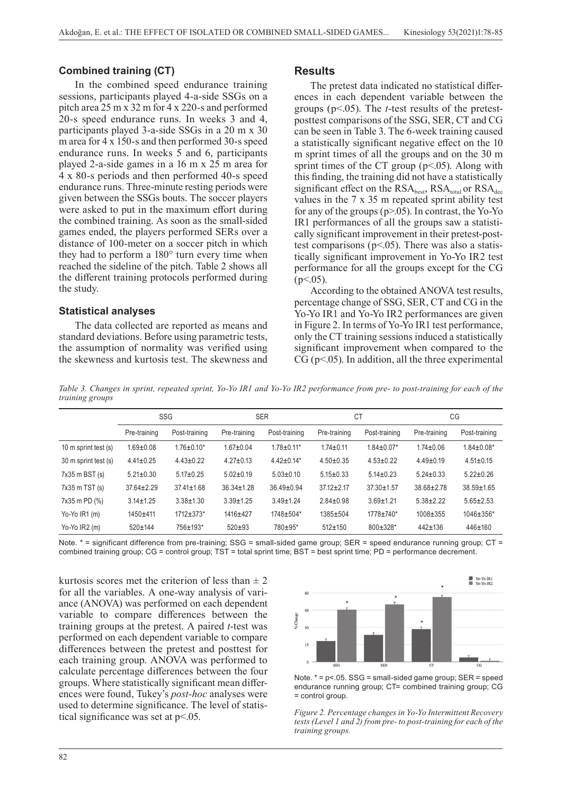#### **Combined training (CT)**

In the combined speed endurance training sessions, participants played 4-a-side SSGs on a pitch area 25 m x 32 m for 4 x 220-s and performed 20-s speed endurance runs. In weeks 3 and 4, participants played 3-a-side SSGs in a 20 m x 30 m area for 4 x 150-s and then performed 30-s speed endurance runs. In weeks 5 and 6, participants played 2-a-side games in a 16 m x 25 m area for 4 x 80-s periods and then performed 40-s speed endurance runs. Three-minute resting periods were given between the SSGs bouts. The soccer players were asked to put in the maximum effort during the combined training. As soon as the small-sided games ended, the players performed SERs over a distance of 100-meter on a soccer pitch in which they had to perform a 180° turn every time when reached the sideline of the pitch. Table 2 shows all the different training protocols performed during the study.

#### **Statistical analyses**

The data collected are reported as means and standard deviations. Before using parametric tests, the assumption of normality was verified using the skewness and kurtosis test. The skewness and

#### **Results**

The pretest data indicated no statistical differences in each dependent variable between the groups (p<.05). The *t*-test results of the pretestposttest comparisons of the SSG, SER, CT and CG can be seen in Table 3. The 6-week training caused a statistically significant negative effect on the 10 m sprint times of all the groups and on the 30 m sprint times of the CT group  $(p<.05)$ . Along with this finding, the training did not have a statistically significant effect on the  $RSA_{best}$ ,  $RSA_{total}$  or  $RSA_{dec}$ values in the 7 x 35 m repeated sprint ability test for any of the groups  $(p>0.05)$ . In contrast, the Yo-Yo IR1 performances of all the groups saw a statistically significant improvement in their pretest-posttest comparisons ( $p<05$ ). There was also a statistically significant improvement in Yo-Yo IR2 test performance for all the groups except for the CG  $(p<.05)$ .

According to the obtained ANOVA test results, percentage change of SSG, SER, CT and CG in the Yo-Yo IR1 and Yo-Yo IR2 performances are given in Figure 2. In terms of Yo-Yo IR1 test performance, only the CT training sessions induced a statistically significant improvement when compared to the  $CG (p<.05)$ . In addition, all the three experimental

*Table 3. Changes in sprint, repeated sprint, Yo-Yo IR1 and Yo-Yo IR2 performance from pre- to post-training for each of the training groups*

|                      | SSG              |                   | <b>SER</b>       |                  | СT               |                  | CG               |                  |
|----------------------|------------------|-------------------|------------------|------------------|------------------|------------------|------------------|------------------|
|                      | Pre-training     | Post-training     | Pre-training     | Post-training    | Pre-training     | Post-training    | Pre-training     | Post-training    |
| 10 m sprint test (s) | $1.69 \pm 0.08$  | $1.76 \pm 0.10^*$ | $1.67 \pm 0.04$  | $1.78 \pm 0.11*$ | $1.74 \pm 0.11$  | $1.84 \pm 0.07*$ | $1.74 \pm 0.06$  | $1.84 \pm 0.08*$ |
| 30 m sprint test (s) | $4.41 \pm 0.25$  | $4.43 \pm 0.22$   | $4.27 \pm 0.13$  | $4.42 \pm 0.14*$ | $4.50 \pm 0.35$  | $4.53 \pm 0.22$  | $4.49 \pm 0.19$  | $4.51 \pm 0.15$  |
| $7x35$ m BST $(s)$   | $5.21 \pm 0.30$  | $5.17 \pm 0.25$   | $5.02 \pm 0.19$  | $5.03 \pm 0.10$  | $5.15 \pm 0.33$  | $5.14 \pm 0.23$  | $5.24 \pm 0.33$  | $5.22 \pm 0.26$  |
| $7x35$ m TST $(s)$   | $37.64 \pm 2.29$ | $37.41 \pm 1.68$  | $36.34 \pm 1.28$ | $36.49 \pm 0.94$ | $37.12 \pm 2.17$ | $37.30 \pm 1.57$ | $38.68 \pm 2.78$ | $38.59 \pm 1.65$ |
| 7x35 m PD (%)        | $3.14 \pm 1.25$  | $3.38 \pm 1.30$   | $3.39 \pm 1.25$  | $3.49 \pm 1.24$  | $2.84 \pm 0.98$  | $3.69 + 1.21$    | $5.38 \pm 2.22$  | $5.65 \pm 2.53$  |
| Yo-Yo IR1 (m)        | $1450 + 411$     | $1712 \pm 373$ *  | 1416±427         | $1748 \pm 504*$  | 1385±504         | 1778±740*        | $1008 \pm 355$   | $1046 \pm 356*$  |
| Yo-Yo $IR2$ (m)      | $520 \pm 144$    | 756±193*          | $520+93$         | 780±95*          | $512 \pm 150$    | 800±328*         | $442 \pm 136$    | $446 \pm 160$    |

Note. \* = significant difference from pre-training; SSG = small-sided game group; SER = speed endurance running group; CT = combined training group; CG = control group; TST = total sprint time; BST = best sprint time; PD = performance decrement.

kurtosis scores met the criterion of less than  $\pm 2$ for all the variables. A one-way analysis of variance (ANOVA) was performed on each dependent variable to compare differences between the training groups at the pretest. A paired *t*-test was performed on each dependent variable to compare differences between the pretest and posttest for each training group. ANOVA was performed to calculate percentage differences between the four groups. Where statistically significant mean differences were found, Tukey's *post-hoc* analyses were used to determine significance. The level of statistical significance was set at  $p<.05$ .



Note. \* = p<.05. SSG = small-sided game group; SER = speed endurance running group; CT= combined training group; CG = control group.

*Figure 2. Percentage changes in Yo-Yo Intermittent Recovery tests (Level 1 and 2) from pre- to post-training for each of the training groups.*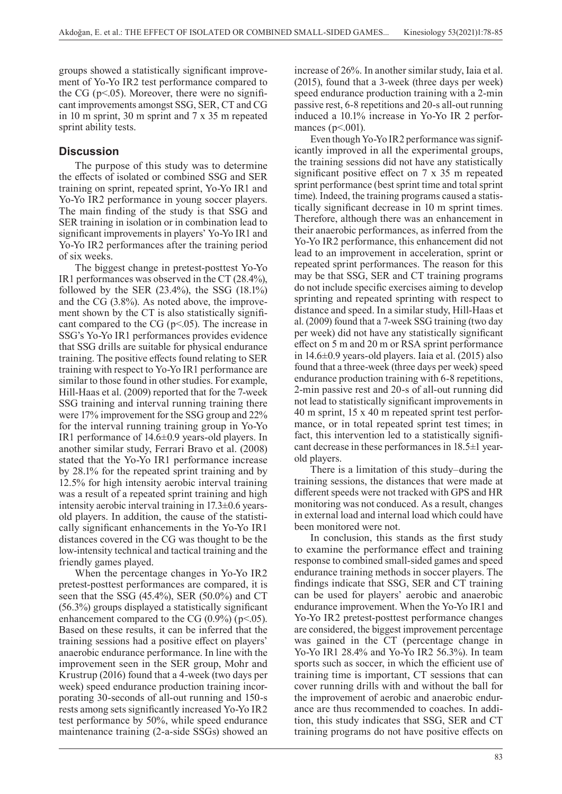groups showed a statistically significant improvement of Yo-Yo IR2 test performance compared to the CG ( $p<05$ ). Moreover, there were no significant improvements amongst SSG, SER, CT and CG in 10 m sprint, 30 m sprint and 7 x 35 m repeated sprint ability tests.

# **Discussion**

The purpose of this study was to determine the effects of isolated or combined SSG and SER training on sprint, repeated sprint, Yo-Yo IR1 and Yo-Yo IR2 performance in young soccer players. The main finding of the study is that SSG and SER training in isolation or in combination lead to significant improvements in players' Yo-Yo IR1 and Yo-Yo IR2 performances after the training period of six weeks.

The biggest change in pretest-posttest Yo-Yo IR1 performances was observed in the CT (28.4%), followed by the SER (23.4%), the SSG (18.1%) and the CG (3.8%). As noted above, the improvement shown by the CT is also statistically significant compared to the CG ( $p<.05$ ). The increase in SSG's Yo-Yo IR1 performances provides evidence that SSG drills are suitable for physical endurance training. The positive effects found relating to SER training with respect to Yo-Yo IR1 performance are similar to those found in other studies. For example, Hill-Haas et al. (2009) reported that for the 7-week SSG training and interval running training there were 17% improvement for the SSG group and 22% for the interval running training group in Yo-Yo IR1 performance of 14.6±0.9 years-old players. In another similar study, Ferrari Bravo et al. (2008) stated that the Yo-Yo IR1 performance increase by 28.1% for the repeated sprint training and by 12.5% for high intensity aerobic interval training was a result of a repeated sprint training and high intensity aerobic interval training in 17.3±0.6 yearsold players. In addition, the cause of the statistically significant enhancements in the Yo-Yo IR1 distances covered in the CG was thought to be the low-intensity technical and tactical training and the friendly games played.

When the percentage changes in Yo-Yo IR2 pretest-posttest performances are compared, it is seen that the SSG (45.4%), SER (50.0%) and CT (56.3%) groups displayed a statistically significant enhancement compared to the CG  $(0.9\%)$  (p<.05). Based on these results, it can be inferred that the training sessions had a positive effect on players' anaerobic endurance performance. In line with the improvement seen in the SER group, Mohr and Krustrup (2016) found that a 4-week (two days per week) speed endurance production training incorporating 30-seconds of all-out running and 150-s rests among sets significantly increased Yo-Yo IR2 test performance by 50%, while speed endurance maintenance training (2-a-side SSGs) showed an

increase of 26%. In another similar study, Iaia et al. (2015), found that a 3-week (three days per week) speed endurance production training with a 2-min passive rest, 6-8 repetitions and 20-s all-out running induced a 10.1% increase in Yo-Yo IR 2 performances ( $p<001$ ).

Even though Yo-Yo IR2 performance was significantly improved in all the experimental groups, the training sessions did not have any statistically significant positive effect on 7 x 35 m repeated sprint performance (best sprint time and total sprint time). Indeed, the training programs caused a statistically significant decrease in 10 m sprint times. Therefore, although there was an enhancement in their anaerobic performances, as inferred from the Yo-Yo IR2 performance, this enhancement did not lead to an improvement in acceleration, sprint or repeated sprint performances. The reason for this may be that SSG, SER and CT training programs do not include specific exercises aiming to develop sprinting and repeated sprinting with respect to distance and speed. In a similar study, Hill-Haas et al. (2009) found that a 7-week SSG training (two day per week) did not have any statistically significant effect on 5 m and 20 m or RSA sprint performance in 14.6±0.9 years-old players. Iaia et al. (2015) also found that a three-week (three days per week) speed endurance production training with 6-8 repetitions, 2-min passive rest and 20-s of all-out running did not lead to statistically significant improvements in 40 m sprint, 15 x 40 m repeated sprint test performance, or in total repeated sprint test times; in fact, this intervention led to a statistically significant decrease in these performances in 18.5±1 yearold players.

There is a limitation of this study–during the training sessions, the distances that were made at different speeds were not tracked with GPS and HR monitoring was not conduced. As a result, changes in external load and internal load which could have been monitored were not.

In conclusion, this stands as the first study to examine the performance effect and training response to combined small-sided games and speed endurance training methods in soccer players. The findings indicate that SSG, SER and CT training can be used for players' aerobic and anaerobic endurance improvement. When the Yo-Yo IR1 and Yo-Yo IR2 pretest-posttest performance changes are considered, the biggest improvement percentage was gained in the CT (percentage change in Yo-Yo IR1 28.4% and Yo-Yo IR2 56.3%). In team sports such as soccer, in which the efficient use of training time is important, CT sessions that can cover running drills with and without the ball for the improvement of aerobic and anaerobic endurance are thus recommended to coaches. In addition, this study indicates that SSG, SER and CT training programs do not have positive effects on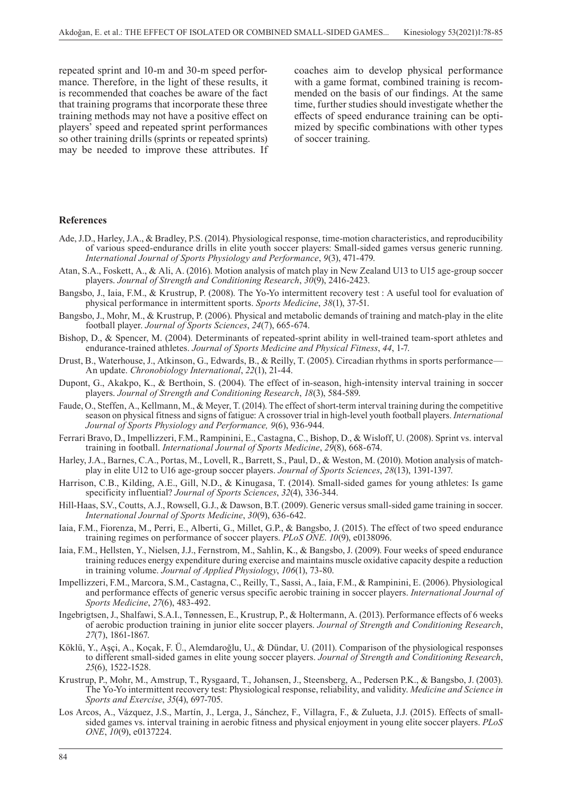repeated sprint and 10-m and 30-m speed performance. Therefore, in the light of these results, it is recommended that coaches be aware of the fact that training programs that incorporate these three training methods may not have a positive effect on players' speed and repeated sprint performances so other training drills (sprints or repeated sprints) may be needed to improve these attributes. If coaches aim to develop physical performance with a game format, combined training is recommended on the basis of our findings. At the same time, further studies should investigate whether the effects of speed endurance training can be optimized by specific combinations with other types of soccer training.

#### **References**

- Ade, J.D., Harley, J.A., & Bradley, P.S. (2014). Physiological response, time-motion characteristics, and reproducibility of various speed-endurance drills in elite youth soccer players: Small-sided games versus generic running. *International Journal of Sports Physiology and Performance*, *9*(3), 471-479.
- Atan, S.A., Foskett, A., & Ali, A. (2016). Motion analysis of match play in New Zealand U13 to U15 age-group soccer players. *Journal of Strength and Conditioning Research*, *30*(9), 2416-2423.
- Bangsbo, J., Iaia, F.M., & Krustrup, P. (2008). The Yo-Yo intermittent recovery test : A useful tool for evaluation of physical performance in intermittent sports. *Sports Medicine*, *38*(1), 37-51.
- Bangsbo, J., Mohr, M., & Krustrup, P. (2006). Physical and metabolic demands of training and match-play in the elite football player. *Journal of Sports Sciences*, *24*(7), 665-674.
- Bishop, D., & Spencer, M. (2004). Determinants of repeated-sprint ability in well-trained team-sport athletes and endurance-trained athletes. *Journal of Sports Medicine and Physical Fitness*, *44*, 1-7.
- Drust, B., Waterhouse, J., Atkinson, G., Edwards, B., & Reilly, T. (2005). Circadian rhythms in sports performance— An update. *Chronobiology International*, *22*(1), 21-44.
- Dupont, G., Akakpo, K., & Berthoin, S. (2004). The effect of in-season, high-intensity interval training in soccer players. *Journal of Strength and Conditioning Research*, *18*(3), 584-589.
- Faude, O., Steffen, A., Kellmann, M., & Meyer, T. (2014). The effect of short-term interval training during the competitive season on physical fitness and signs of fatigue: A crossover trial in high-level youth football players. *International Journal of Sports Physiology and Performance, 9*(6), 936-944.
- Ferrari Bravo, D., Impellizzeri, F.M., Rampinini, E., Castagna, C., Bishop, D., & Wisloff, U. (2008). Sprint vs. interval training in football. *International Journal of Sports Medicine*, *29*(8), 668-674.
- Harley, J.A., Barnes, C.A., Portas, M., Lovell, R., Barrett, S., Paul, D., & Weston, M. (2010). Motion analysis of matchplay in elite U12 to U16 age-group soccer players. *Journal of Sports Sciences*, *28*(13), 1391-1397.
- Harrison, C.B., Kilding, A.E., Gill, N.D., & Kinugasa, T. (2014). Small-sided games for young athletes: Is game specificity influential? *Journal of Sports Sciences*, *32*(4), 336-344.
- Hill-Haas, S.V., Coutts, A.J., Rowsell, G.J., & Dawson, B.T. (2009). Generic versus small-sided game training in soccer. *International Journal of Sports Medicine*, *30*(9), 636-642.
- Iaia, F.M., Fiorenza, M., Perri, E., Alberti, G., Millet, G.P., & Bangsbo, J. (2015). The effect of two speed endurance training regimes on performance of soccer players. *PLoS ONE*. *10*(9), e0138096.
- Iaia, F.M., Hellsten, Y., Nielsen, J.J., Fernstrom, M., Sahlin, K., & Bangsbo, J. (2009). Four weeks of speed endurance training reduces energy expenditure during exercise and maintains muscle oxidative capacity despite a reduction in training volume. *Journal of Applied Physiology*, *106*(1), 73-80.
- Impellizzeri, F.M., Marcora, S.M., Castagna, C., Reilly, T., Sassi, A., Iaia, F.M., & Rampinini, E. (2006). Physiological and performance effects of generic versus specific aerobic training in soccer players. *International Journal of Sports Medicine*, *27*(6), 483-492.
- Ingebrigtsen, J., Shalfawi, S.A.I., Tønnessen, E., Krustrup, P., & Holtermann, A. (2013). Performance effects of 6 weeks of aerobic production training in junior elite soccer players. *Journal of Strength and Conditioning Research*, *27*(7), 1861-1867.
- Köklü, Y., Aşçi, A., Koçak, F. Ü., Alemdaroğlu, U., & Dündar, U. (2011). Comparison of the physiological responses to different small-sided games in elite young soccer players. *Journal of Strength and Conditioning Research*, *25*(6), 1522-1528.
- Krustrup, P., Mohr, M., Amstrup, T., Rysgaard, T., Johansen, J., Steensberg, A., Pedersen P.K., & Bangsbo, J. (2003). The Yo-Yo intermittent recovery test: Physiological response, reliability, and validity. *Medicine and Science in Sports and Exercise*, *35*(4), 697-705.
- Los Arcos, A., Vázquez, J.S., Martín, J., Lerga, J., Sánchez, F., Villagra, F., & Zulueta, J.J. (2015). Effects of smallsided games vs. interval training in aerobic fitness and physical enjoyment in young elite soccer players. *PLoS ONE*, *10*(9), e0137224.